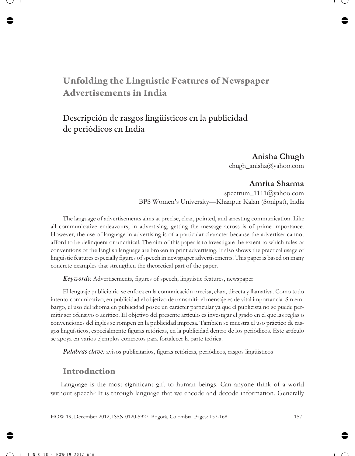# **Unfolding the Linguistic Features of Newspaper Advertisements in India**

# Descripción de rasgos lingüísticos en la publicidad de periódicos en India

### **Anisha Chugh**

chugh\_anisha@yahoo.com

### **Amrita Sharma**

spectrum 1111@yahoo.com BPS Women's University—Khanpur Kalan (Sonipat), India

The language of advertisements aims at precise, clear, pointed, and arresting communication. Like all communicative endeavours, in advertising, getting the message across is of prime importance. However, the use of language in advertising is of a particular character because the advertiser cannot afford to be delinquent or uncritical. The aim of this paper is to investigate the extent to which rules or conventions of the English language are broken in print advertising. It also shows the practical usage of linguistic features especially figures of speech in newspaper advertisements. This paper is based on many concrete examples that strengthen the theoretical part of the paper.

*Keywords:* Advertisements, figures of speech, linguistic features, newspaper

El lenguaje publicitario se enfoca en la comunicación precisa, clara, directa y llamativa. Como todo intento comunicativo, en publicidad el objetivo de transmitir el mensaje es de vital importancia. Sin embargo, el uso del idioma en publicidad posee un carácter particular ya que el publicista no se puede permitir ser ofensivo o acrítico. El objetivo del presente artículo es investigar el grado en el que las reglas o convenciones del inglés se rompen en la publicidad impresa. También se muestra el uso práctico de rasgos lingüísticos, especialmente figuras retóricas, en la publicidad dentro de los periódicos. Este artículo se apoya en varios ejemplos concretos para fortalecer la parte teórica.

*Palabras clave:* avisos publicitarios, figuras retóricas, periódicos, rasgos lingüísticos

### **Introduction**

Language is the most significant gift to human beings. Can anyone think of a world without speech? It is through language that we encode and decode information. Generally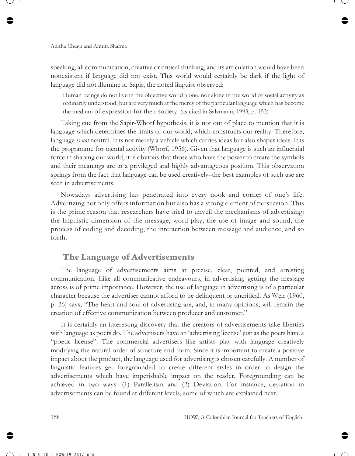speaking, all communication, creative or critical thinking, and its articulation would have been nonexistent if language did not exist. This world would certainly be dark if the light of language did not illumine it. Sapir, the noted linguist observed:

Human beings do not live in the objective world alone, nor alone in the world of social activity as ordinarily understood, but are very much at the mercy of the particular language which has become the medium of expression for their society. (as cited in Salzmann, 1993, p. 153)

Taking cue from the Sapir-Whorf hypothesis, it is not out of place to mention that it is language which determines the limits of our world, which constructs our reality. Therefore, language *is not* neutral. It is not merely a vehicle which carries ideas but also shapes ideas. It is the programme for mental activity (Whorf, 1956). Given that language is such an influential force in shaping our world, it is obvious that those who have the power to create the symbols and their meanings are in a privileged and highly advantageous position. This observation springs from the fact that language can be used creatively–the best examples of such use are seen in advertisements.

Nowadays advertising has penetrated into every nook and corner of one's life. Advertizing not only offers information but also has a strong element of persuasion. This is the prime reason that researchers have tried to unveil the mechanisms of advertising: the linguistic dimension of the message, word-play, the use of image and sound, the process of coding and decoding, the interaction between message and audience, and so forth.

## **The Language of Advertisements**

The language of advertisements aims at precise, clear, pointed, and arresting communication. Like all communicative endeavours, in advertising, getting the message across is of prime importance. However, the use of language in advertising is of a particular character because the advertiser cannot afford to be delinquent or uncritical. As Weir (1960, p. 26) says, "The heart and soul of advertising are, and, in many opinions, will remain the creation of effective communication between producer and customer."

It is certainly an interesting discovery that the creators of advertisements take liberties with language as poets do. The advertisers have an 'advertising license' just as the poets have a "poetic license". The commercial advertisers like artists play with language creatively modifying the natural order of structure and form. Since it is important to create a positive impact about the product, the language used for advertising is chosen carefully. A number of linguistic features get foregrounded to create different styles in order to design the advertisements which have imperishable impact on the reader. Foregrounding can be achieved in two ways: (1) Parallelism and (2) Deviation. For instance, deviation in advertisements can be found at different levels, some of which are explained next.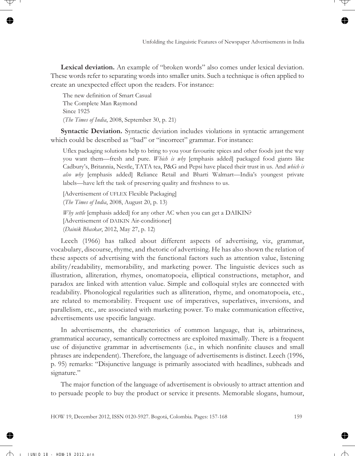**Lexical deviation.** An example of "broken words" also comes under lexical deviation. These words refer to separating words into smaller units. Such a technique is often applied to create an unexpected effect upon the readers. For instance:

The new definition of Smart Casual The Complete Man Raymond Since 1925 (*The Times of India*, 2008, September 30, p. 21)

**Syntactic Deviation.** Syntactic deviation includes violations in syntactic arrangement which could be described as "bad" or "incorrect" grammar. For instance:

Uflex packaging solutions help to bring to you your favourite spices and other foods just the way you want them—fresh and pure. *Which is why* [emphasis added] packaged food giants like Cadbury's, Britannia, Nestle, TATA tea, P&G and Pepsi have placed their trust in us. And *which is also why* [emphasis added] Reliance Retail and Bharti Walmart—India's youngest private labels—have left the task of preserving quality and freshness to us.

[Advertisement of UFLEX Flexible Packaging] (*The Times of India*, 2008, August 20, p. 13)

*Why settle* [emphasis added] for any other AC when you can get a DAIKIN? [Advertisement of DAIKIN Air-conditioner] (*Dainik Bhaskar*, 2012, May 27, p. 12)

Leech (1966) has talked about different aspects of advertising, viz, grammar, vocabulary, discourse, rhyme, and rhetoric of advertising. He has also shown the relation of these aspects of advertising with the functional factors such as attention value, listening ability/readability, memorability, and marketing power. The linguistic devices such as illustration, alliteration, rhymes, onomatopoeia, elliptical constructions, metaphor, and paradox are linked with attention value. Simple and colloquial styles are connected with readability. Phonological regularities such as alliteration, rhyme, and onomatopoeia, etc., are related to memorability. Frequent use of imperatives, superlatives, inversions, and parallelism, etc., are associated with marketing power. To make communication effective, advertisements use specific language.

In advertisements, the characteristics of common language, that is, arbitrariness, grammatical accuracy, semantically correctness are exploited maximally. There is a frequent use of disjunctive grammar in advertisements (i.e., in which nonfinite clauses and small phrases are independent). Therefore, the language of advertisements is distinct. Leech (1996, p. 95) remarks: "Disjunctive language is primarily associated with headlines, subheads and signature."

The major function of the language of advertisement is obviously to attract attention and to persuade people to buy the product or service it presents. Memorable slogans, humour,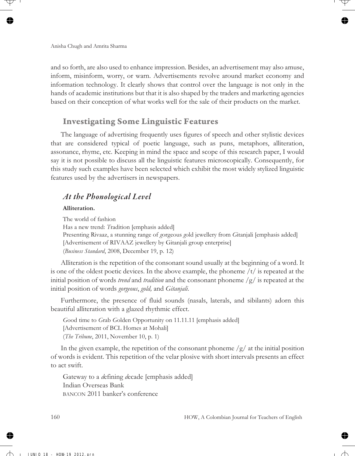and so forth, are also used to enhance impression. Besides, an advertisement may also amuse, inform, misinform, worry, or warn. Advertisements revolve around market economy and information technology. It clearly shows that control over the language is not only in the hands of academic institutions but that it is also shaped by the traders and marketing agencies based on their conception of what works well for the sale of their products on the market.

### **Investigating Some Linguistic Features**

The language of advertising frequently uses figures of speech and other stylistic devices that are considered typical of poetic language, such as puns, metaphors, alliteration, assonance, rhyme, etc. Keeping in mind the space and scope of this research paper, I would say it is not possible to discuss all the linguistic features microscopically. Consequently, for this study such examples have been selected which exhibit the most widely stylized linguistic features used by the advertisers in newspapers.

### *At the Phonological Level*

#### **Alliteration.**

The world of fashion Has a new trend: *T*radition [emphasis added] Presenting Rivaaz, a stunning range of *g*orgeous *g*old jewellery from *G*itanjali [emphasis added] [Advertisement of RIVAAZ jewellery by Gitanjali group enterprise] (*Business Standard*, 2008, December 19, p. 12)

Alliteration is the repetition of the consonant sound usually at the beginning of a word. It is one of the oldest poetic devices. In the above example, the phoneme  $/t/$  is repeated at the initial position of words *trend* and *tradition* and the consonant phoneme /g/ is repeated at the initial position of words *gorgeous*, *gold,* and *Gitanjali*.

Furthermore, the presence of fluid sounds (nasals, laterals, and sibilants) adorn this beautiful alliteration with a glazed rhythmic effect.

*G*ood time to *G*rab *G*olden Opportunity on 11.11.11 [emphasis added] [Advertisement of BCL Homes at Mohali] (*The Tribune*, 2011, November 10, p. 1)

In the given example, the repetition of the consonant phoneme  $/g/$  at the initial position of words is evident. This repetition of the velar plosive with short intervals presents an effect to act swift.

Gateway to a *d*efining *d*ecade [emphasis added] Indian Overseas Bank BANCON 2011 banker's conference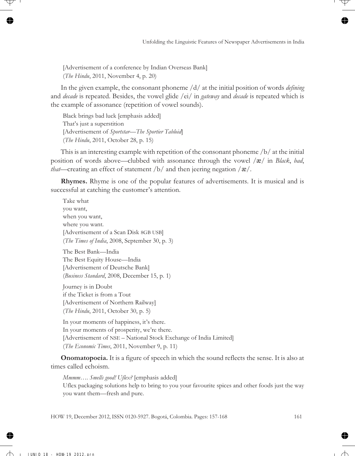[Advertisement of a conference by Indian Overseas Bank] (*The Hindu*, 2011, November 4, p. 20)

In the given example, the consonant phoneme /d/ at the initial position of words *defining* and *decade* is repeated. Besides, the vowel glide /ei/ in *gateway* and *decade* is repeated which is the example of assonance (repetition of vowel sounds).

Black brings bad luck [emphasis added] That's just a superstition [Advertisement of *Sportstar*—*The Sportier Tabloid*] (*The Hindu*, 2011, October 28, p. 15)

This is an interesting example with repetition of the consonant phoneme /b/ at the initial position of words above—clubbed with assonance through the vowel / æ/ in *Black*, *bad*, *that*—creating an effect of statement /b/ and then jeering negation /  $\alpha$ /.

**Rhymes.** Rhyme is one of the popular features of advertisements. It is musical and is successful at catching the customer's attention.

Take what you want, when you want, where you want. [Advertisement of a Scan Disk 8GB USB] (*The Times of India*, 2008, September 30, p. 3)

The Best Bank—India The Best Equity House—India [Advertisement of Deutsche Bank] (*Business Standard*, 2008, December 15, p. 1)

Journey is in Doubt if the Ticket is from a Tout [Advertisement of Northern Railway] (*The Hindu*, 2011, October 30, p. 5)

In your moments of happiness, it's there. In your moments of prosperity, we're there. [Advertisement of NSE – National Stock Exchange of India Limited] (*The Economic Times*, 2011, November 9, p. 11)

**Onomatopoeia.** It is a figure of speech in which the sound reflects the sense. It is also at times called echoism.

*Mmmm…. Smells good! Uflex?* [emphasis added] Uflex packaging solutions help to bring to you your favourite spices and other foods just the way you want them—fresh and pure.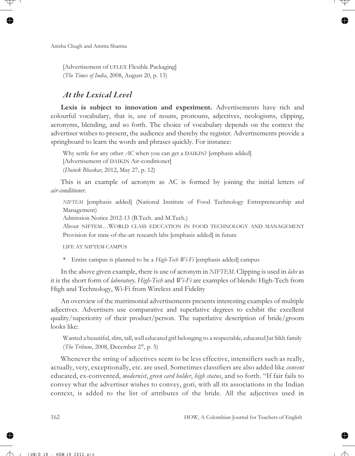[Advertisement of UFLEX Flexible Packaging] (*The Times of India*, 2008, August 20, p. 13)

### *At the Lexical Level*

**Lexis is subject to innovation and experiment.** Advertisements have rich and colourful vocabulary, that is, use of nouns, pronouns, adjectives, neologisms, clipping, acronyms, blending, and so forth. The choice of vocabulary depends on the context the advertiser wishes to present, the audience and thereby the register. Advertisements provide a springboard to learn the words and phrases quickly. For instance:

Why settle for any other *AC* when you can get a DAIKIN? [emphasis added] [Advertisement of DAIKIN Air-conditioner] (*Dainik Bhaskar*, 2012, May 27, p. 12)

This is an example of acronym as AC is formed by joining the initial letters of *air-conditioner*.

*NIFTEM* [emphasis added] (National Institute of Food Technology Entrepreneurship and Management)

Admission Notice 2012-13 (B.Tech. and M.Tech.)

About NIFTEM…WORLD CLASS EDUCATION IN FOOD TECHNOLOGY AND MANAGEMENT Provision for state-of-the-art research labs [emphasis added] in future

LIFE AT NIFTEM CAMPUS

• Entire campus is planned to be a *High-Tech Wi-Fi* [emphasis added] campus

In the above given example, there is use of acronym in *NIFTEM*. Clipping is used in *labs* as it is the short form of *laboratory*. *High-Tech* and *Wi-Fi* are examples of blends: High-Tech from High and Technology, Wi-Fi from Wireless and Fidelity

An overview of the matrimonial advertisements presents interesting examples of multiple adjectives. Advertisers use comparative and superlative degrees to exhibit the excellent quality/superiority of their product/person. The superlative description of bride/groom looks like:

Wanted a beautiful, slim, tall, well educated girl belonging to a respectable, educated Jat Sikh family (*The Tribune*, 2008, December 27, p. 5)

Whenever the string of adjectives seem to be less effective, intensifiers such as really, actually, very, exceptionally, etc. are used. Sometimes classifiers are also added like *convent* educated, ex-convented, *modernist*, *green card holder*, *high status*, and so forth. "If fair fails to convey what the advertiser wishes to convey, gori, with all its associations in the Indian context, is added to the list of attributes of the bride. All the adjectives used in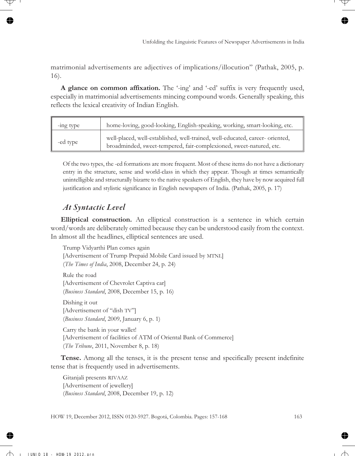matrimonial advertisements are adjectives of implications/illocution" (Pathak, 2005, p. 16).

**A glance on common affixation.** The '-ing' and '-ed' suffix is very frequently used, especially in matrimonial advertisements mincing compound words. Generally speaking, this reflects the lexical creativity of Indian English.

| -ing type | home-loving, good-looking, English-speaking, working, smart-looking, etc.                                                                            |
|-----------|------------------------------------------------------------------------------------------------------------------------------------------------------|
| -ed type  | well-placed, well-established, well-trained, well-educated, career- oriented,<br>broadminded, sweet-tempered, fair-complexioned, sweet-natured, etc. |

Of the two types, the -ed formations are more frequent. Most of these items do not have a dictionary entry in the structure, sense and world-class in which they appear. Though at times semantically unintelligible and structurally bizarre to the native speakers of English, they have by now acquired full justification and stylistic significance in English newspapers of India. (Pathak, 2005, p. 17)

# *At Syntactic Level*

**Elliptical construction.** An elliptical construction is a sentence in which certain word/words are deliberately omitted because they can be understood easily from the context. In almost all the headlines, elliptical sentences are used.

Trump Vidyarthi Plan comes again [Advertisement of Trump Prepaid Mobile Card issued by MTNL] (*The Times of India*, 2008, December 24, p. 24) Rule the road [Advertisement of Chevrolet Captiva car] (*Business Standard*, 2008, December 15, p. 16) Dishing it out [Advertisement of "dish TV"] (*Business Standard*, 2009, January 6, p. 1) Carry the bank in your wallet! [Advertisement of facilities of ATM of Oriental Bank of Commerce] (*The Tribune*, 2011, November 8, p. 18)

**Tense.** Among all the tenses, it is the present tense and specifically present indefinite tense that is frequently used in advertisements.

Gitanjali presents RIVAAZ [Advertisement of jewellery] (*Business Standard*, 2008, December 19, p. 12)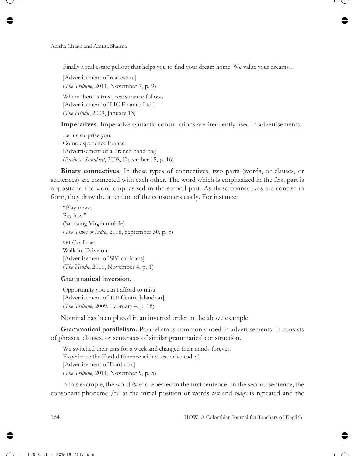Finally a real estate pullout that helps you to find your dream home. We value your dreams...

[Advertisement of real estate] (*The Tribune*, 2011, November 7, p. 9) Where there is trust, reassurance follows [Advertisement of LIC Finance Ltd.] (*The Hindu*, 2009, January 13)

**Imperatives.** Imperative syntactic constructions are frequently used in advertisements.

Let us surprise you, Come experience France [Advertisement of a French hand bag] (*Business Standard*, 2008, December 15, p. 16)

**Binary connectives.** In these types of connectives, two parts (words, or clauses, or sentences) are connected with each other. The word which is emphasized in the first part is opposite to the word emphasized in the second part. As these connectives are concise in form, they draw the attention of the consumers easily. For instance:

"Play more. Pay less." (Samsung Virgin mobile) (*The Times of India*, 2008, September 30, p. 5)

SBI Car Loan Walk in. Drive out. [Advertisement of SBI car loans] (*The Hindu*, 2011, November 4, p. 1)

#### **Grammatical inversion.**

Opportunity you can't afford to miss [Advertisement of TDI Centre Jalandhar] (*The Tribune*, 2009, February 4, p. 18)

Nominal has been placed in an inverted order in the above example.

**Grammatical parallelism.** Parallelism is commonly used in advertisements. It consists of phrases, clauses, or sentences of similar grammatical construction.

We switched their cars for a week and changed their minds forever. Experience the Ford difference with a test drive today! [Advertisement of Ford cars] (*The Tribune*, 2011, November 9, p. 5)

In this example, the word *their* is repeated in the first sentence. In the second sentence, the consonant phoneme /t/ at the initial position of words *test* and *today* is repeated and the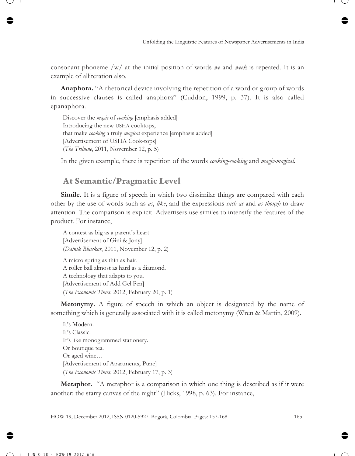consonant phoneme /w/ at the initial position of words *we* and *week* is repeated. It is an example of alliteration also.

**Anaphora.** "A rhetorical device involving the repetition of a word or group of words in successive clauses is called anaphora" (Cuddon, 1999, p. 37). It is also called epanaphora.

Discover the *magic* of *cooking* [emphasis added] Introducing the new USHA cooktops, that make *cooking* a truly *magical* experience [emphasis added] [Advertisement of USHA Cook-tops] (*The Tribune*, 2011, November 12, p. 5)

In the given example, there is repetition of the words *cooking-cooking* and *magic-magical*.

# **At Semantic/Pragmatic Level**

**Simile.** It is a figure of speech in which two dissimilar things are compared with each other by the use of words such as *as*, *like*, and the expressions *such as* and *as though* to draw attention. The comparison is explicit. Advertisers use similes to intensify the features of the product. For instance,

A contest as big as a parent's heart [Advertisement of Gini & Jony] (*Dainik Bhaskar*, 2011, November 12, p. 2) A micro spring as thin as hair.

A roller ball almost as hard as a diamond. A technology that adapts to you. [Advertisement of Add Gel Pen] (*The Economic Times*, 2012, February 20, p. 1)

**Metonymy.** A figure of speech in which an object is designated by the name of something which is generally associated with it is called metonymy (Wren & Martin, 2009).

It's Modern. It's Classic. It's like monogrammed stationery. Or boutique tea. Or aged wine… [Advertisement of Apartments, Pune] (*The Economic Times*, 2012, February 17, p. 3)

**Metaphor.** "A metaphor is a comparison in which one thing is described as if it were another: the starry canvas of the night" (Hicks, 1998, p. 63). For instance,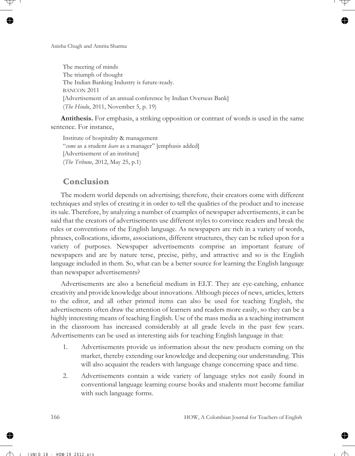The meeting of minds The triumph of thought The Indian Banking Industry is future-ready. BANCON 2011 [Advertisement of an annual conference by Indian Overseas Bank] (*The Hindu*, 2011, November 5, p. 19)

**Antithesis.** For emphasis, a striking opposition or contrast of words is used in the same sentence. For instance,

Institute of hospitality & management "*come* as a student *leave* as a manager" [emphasis added] [Advertisement of an institute] (*The Tribune*, 2012, May 25, p.1)

# **Conclusion**

The modern world depends on advertising; therefore, their creators come with different techniques and styles of creating it in order to tell the qualities of the product and to increase its sale. Therefore, by analyzing a number of examples of newspaper advertisements, it can be said that the creators of advertisements use different styles to convince readers and break the rules or conventions of the English language. As newspapers are rich in a variety of words, phrases, collocations, idioms, associations, different structures, they can be relied upon for a variety of purposes. Newspaper advertisements comprise an important feature of newspapers and are by nature terse, precise, pithy, and attractive and so is the English language included in them. So, what can be a better source for learning the English language than newspaper advertisements?

Advertisements are also a beneficial medium in ELT. They are eye-catching, enhance creativity and provide knowledge about innovations. Although pieces of news, articles, letters to the editor, and all other printed items can also be used for teaching English, the advertisements often draw the attention of learners and readers more easily, so they can be a highly interesting means of teaching English. Use of the mass media as a teaching instrument in the classroom has increased considerably at all grade levels in the past few years. Advertisements can be used as interesting aids for teaching English language in that:

- 1. Advertisements provide us information about the new products coming on the market, thereby extending our knowledge and deepening our understanding. This will also acquaint the readers with language change concerning space and time.
- 2. Advertisements contain a wide variety of language styles not easily found in conventional language learning course books and students must become familiar with such language forms.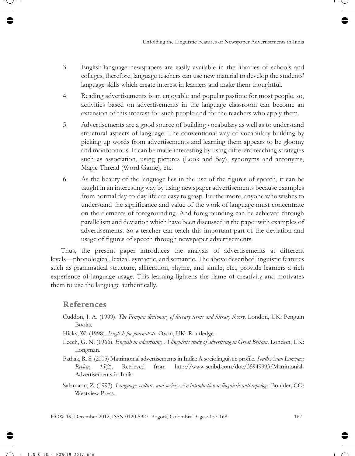- 3. English-language newspapers are easily available in the libraries of schools and colleges, therefore, language teachers can use new material to develop the students' language skills which create interest in learners and make them thoughtful.
- 4. Reading advertisements is an enjoyable and popular pastime for most people, so, activities based on advertisements in the language classroom can become an extension of this interest for such people and for the teachers who apply them.
- 5. Advertisements are a good source of building vocabulary as well as to understand structural aspects of language. The conventional way of vocabulary building by picking up words from advertisements and learning them appears to be gloomy and monotonous. It can be made interesting by using different teaching strategies such as association, using pictures (Look and Say), synonyms and antonyms, Magic Thread (Word Game), etc.
- 6. As the beauty of the language lies in the use of the figures of speech, it can be taught in an interesting way by using newspaper advertisements because examples from normal day-to-day life are easy to grasp. Furthermore, anyone who wishes to understand the significance and value of the work of language must concentrate on the elements of foregrounding. And foregrounding can be achieved through parallelism and deviation which have been discussed in the paper with examples of advertisements. So a teacher can teach this important part of the deviation and usage of figures of speech through newspaper advertisements.

Thus, the present paper introduces the analysis of advertisements at different levels—phonological, lexical, syntactic, and semantic. The above described linguistic features such as grammatical structure, alliteration, rhyme, and simile, etc., provide learners a rich experience of language usage. This learning lightens the flame of creativity and motivates them to use the language authentically.

# **References**

- Cuddon, J. A. (1999). *The Penguin dictionary of literary terms and literary theory*. London, UK: Penguin Books.
- Hicks, W. (1998). *English for journalists*. Oxon, UK: Routledge.
- Leech, G. N. (1966). *English in advertising. A linguistic study of advertising in Great Britain*. London, UK: Longman.
- Pathak, R. S. (2005) Matrimonial advertisements in India: A sociolinguistic profile. *South Asian Language Review*, *15*(2). Retrieved from http://www.scribd.com/doc/35949993/Matrimonial-Advertisements-in-India
- Salzmann, Z. (1993). *Language, culture, and society: An introduction to linguistic anthropology.* Boulder, CO: Westview Press.